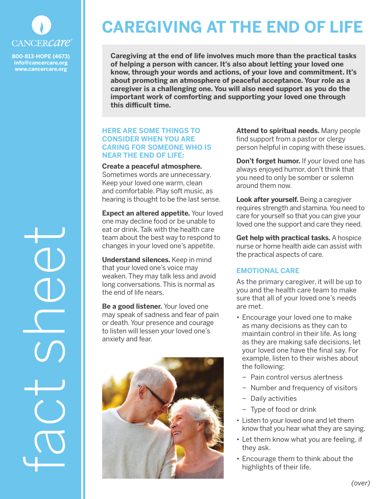

**800-813-HOPE (4673) info@cancercare.org www.cancercare.org**

fact sheet

# **CAREGIVING AT THE END OF LIFE**

**Caregiving at the end of life involves much more than the practical tasks of helping a person with cancer. It's also about letting your loved one know, through your words and actions, of your love and commitment. It's about promoting an atmosphere of peaceful acceptance. Your role as a caregiver is a challenging one. You will also need support as you do the important work of comforting and supporting your loved one through this difficult time.**

## **HERE ARE SOME THINGS TO CONSIDER WHEN YOU ARE CARING FOR SOMEONE WHO IS NEAR THE END OF LIFE:**

**Create a peaceful atmosphere.** Sometimes words are unnecessary. Keep your loved one warm, clean and comfortable. Play soft music, as hearing is thought to be the last sense.

**Expect an altered appetite.** Your loved one may decline food or be unable to eat or drink. Talk with the health care team about the best way to respond to changes in your loved one's appetite.

**Understand silences.** Keep in mind that your loved one's voice may weaken. They may talk less and avoid long conversations. This is normal as the end of life nears.

**Be a good listener.** Your loved one may speak of sadness and fear of pain or death. Your presence and courage to listen will lessen your loved one's anxiety and fear.



**Attend to spiritual needs.** Many people find support from a pastor or clergy person helpful in coping with these issues.

**Don't forget humor.** If your loved one has always enjoyed humor, don't think that you need to only be somber or solemn around them now.

**Look after yourself.** Being a caregiver requires strength and stamina. You need to care for yourself so that you can give your loved one the support and care they need.

**Get help with practical tasks.** A hospice nurse or home health aide can assist with the practical aspects of care.

# **EMOTIONAL CARE**

As the primary caregiver, it will be up to you and the health care team to make sure that all of your loved one's needs are met.

- Encourage your loved one to make as many decisions as they can to maintain control in their life. As long as they are making safe decisions, let your loved one have the final say. For example, listen to their wishes about the following:
	- − Pain control versus alertness
	- − Number and frequency of visitors
	- − Daily activities
	- − Type of food or drink
- Listen to your loved one and let them know that you hear what they are saying.
- Let them know what you are feeling, if they ask.
- Encourage them to think about the highlights of their life.